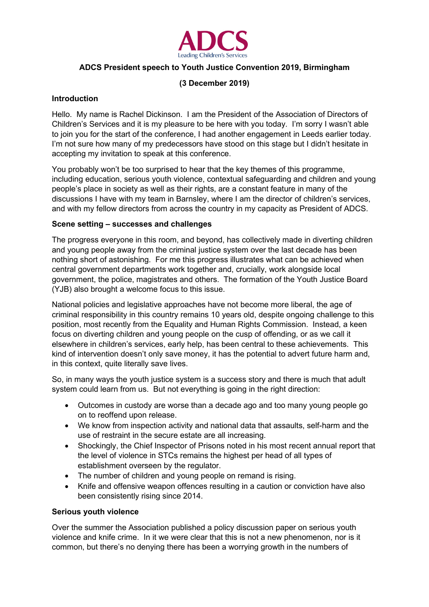

# **ADCS President speech to Youth Justice Convention 2019, Birmingham**

# **(3 December 2019)**

## **Introduction**

Hello. My name is Rachel Dickinson. I am the President of the Association of Directors of Children's Services and it is my pleasure to be here with you today. I'm sorry I wasn't able to join you for the start of the conference, I had another engagement in Leeds earlier today. I'm not sure how many of my predecessors have stood on this stage but I didn't hesitate in accepting my invitation to speak at this conference.

You probably won't be too surprised to hear that the key themes of this programme, including education, serious youth violence, contextual safeguarding and children and young people's place in society as well as their rights, are a constant feature in many of the discussions I have with my team in Barnsley, where I am the director of children's services, and with my fellow directors from across the country in my capacity as President of ADCS.

### **Scene setting – successes and challenges**

The progress everyone in this room, and beyond, has collectively made in diverting children and young people away from the criminal justice system over the last decade has been nothing short of astonishing. For me this progress illustrates what can be achieved when central government departments work together and, crucially, work alongside local government, the police, magistrates and others. The formation of the Youth Justice Board (YJB) also brought a welcome focus to this issue.

National policies and legislative approaches have not become more liberal, the age of criminal responsibility in this country remains 10 years old, despite ongoing challenge to this position, most recently from the Equality and Human Rights Commission. Instead, a keen focus on diverting children and young people on the cusp of offending, or as we call it elsewhere in children's services, early help, has been central to these achievements. This kind of intervention doesn't only save money, it has the potential to advert future harm and, in this context, quite literally save lives.

So, in many ways the youth justice system is a success story and there is much that adult system could learn from us. But not everything is going in the right direction:

- Outcomes in custody are worse than a decade ago and too many young people go on to reoffend upon release.
- We know from inspection activity and national data that assaults, self-harm and the use of restraint in the secure estate are all increasing.
- Shockingly, the Chief Inspector of Prisons noted in his most recent annual report that the level of violence in STCs remains the highest per head of all types of establishment overseen by the regulator.
- The number of children and young people on remand is rising.
- Knife and offensive weapon offences resulting in a caution or conviction have also been consistently rising since 2014.

#### **Serious youth violence**

Over the summer the Association published a policy discussion paper on serious youth violence and knife crime. In it we were clear that this is not a new phenomenon, nor is it common, but there's no denying there has been a worrying growth in the numbers of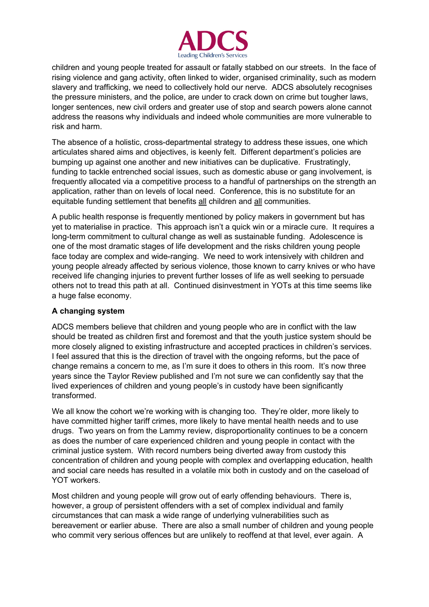

children and young people treated for assault or fatally stabbed on our streets. In the face of rising violence and gang activity, often linked to wider, organised criminality, such as modern slavery and trafficking, we need to collectively hold our nerve. ADCS absolutely recognises the pressure ministers, and the police, are under to crack down on crime but tougher laws, longer sentences, new civil orders and greater use of stop and search powers alone cannot address the reasons why individuals and indeed whole communities are more vulnerable to risk and harm.

The absence of a holistic, cross-departmental strategy to address these issues, one which articulates shared aims and objectives, is keenly felt. Different department's policies are bumping up against one another and new initiatives can be duplicative. Frustratingly, funding to tackle entrenched social issues, such as domestic abuse or gang involvement, is frequently allocated via a competitive process to a handful of partnerships on the strength an application, rather than on levels of local need. Conference, this is no substitute for an equitable funding settlement that benefits all children and all communities.

A public health response is frequently mentioned by policy makers in government but has yet to materialise in practice. This approach isn't a quick win or a miracle cure. It requires a long-term commitment to cultural change as well as sustainable funding. Adolescence is one of the most dramatic stages of life development and the risks children young people face today are complex and wide-ranging. We need to work intensively with children and young people already affected by serious violence, those known to carry knives or who have received life changing injuries to prevent further losses of life as well seeking to persuade others not to tread this path at all. Continued disinvestment in YOTs at this time seems like a huge false economy.

# **A changing system**

ADCS members believe that children and young people who are in conflict with the law should be treated as children first and foremost and that the youth justice system should be more closely aligned to existing infrastructure and accepted practices in children's services. I feel assured that this is the direction of travel with the ongoing reforms, but the pace of change remains a concern to me, as I'm sure it does to others in this room. It's now three years since the Taylor Review published and I'm not sure we can confidently say that the lived experiences of children and young people's in custody have been significantly transformed.

We all know the cohort we're working with is changing too. They're older, more likely to have committed higher tariff crimes, more likely to have mental health needs and to use drugs. Two years on from the Lammy review, disproportionality continues to be a concern as does the number of care experienced children and young people in contact with the criminal justice system. With record numbers being diverted away from custody this concentration of children and young people with complex and overlapping education, health and social care needs has resulted in a volatile mix both in custody and on the caseload of YOT workers.

Most children and young people will grow out of early offending behaviours. There is, however, a group of persistent offenders with a set of complex individual and family circumstances that can mask a wide range of underlying vulnerabilities such as bereavement or earlier abuse. There are also a small number of children and young people who commit very serious offences but are unlikely to reoffend at that level, ever again. A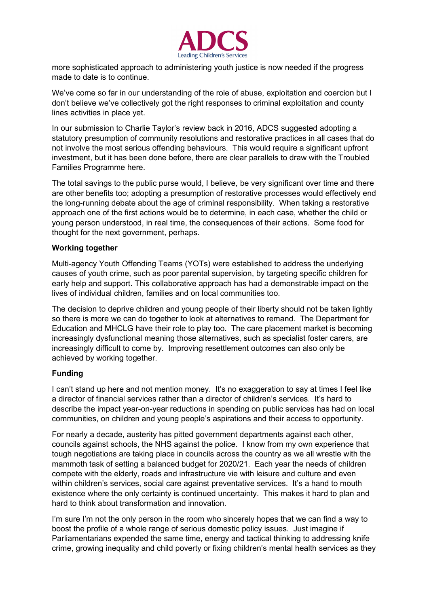

more sophisticated approach to administering youth justice is now needed if the progress made to date is to continue.

We've come so far in our understanding of the role of abuse, exploitation and coercion but I don't believe we've collectively got the right responses to criminal exploitation and county lines activities in place yet.

In our submission to Charlie Taylor's review back in 2016, ADCS suggested adopting a statutory presumption of community resolutions and restorative practices in all cases that do not involve the most serious offending behaviours. This would require a significant upfront investment, but it has been done before, there are clear parallels to draw with the Troubled Families Programme here.

The total savings to the public purse would, I believe, be very significant over time and there are other benefits too; adopting a presumption of restorative processes would effectively end the long-running debate about the age of criminal responsibility. When taking a restorative approach one of the first actions would be to determine, in each case, whether the child or young person understood, in real time, the consequences of their actions. Some food for thought for the next government, perhaps.

### **Working together**

Multi-agency Youth Offending Teams (YOTs) were established to address the underlying causes of youth crime, such as poor parental supervision, by targeting specific children for early help and support. This collaborative approach has had a demonstrable impact on the lives of individual children, families and on local communities too.

The decision to deprive children and young people of their liberty should not be taken lightly so there is more we can do together to look at alternatives to remand. The Department for Education and MHCLG have their role to play too. The care placement market is becoming increasingly dysfunctional meaning those alternatives, such as specialist foster carers, are increasingly difficult to come by. Improving resettlement outcomes can also only be achieved by working together.

# **Funding**

I can't stand up here and not mention money. It's no exaggeration to say at times I feel like a director of financial services rather than a director of children's services. It's hard to describe the impact year-on-year reductions in spending on public services has had on local communities, on children and young people's aspirations and their access to opportunity.

For nearly a decade, austerity has pitted government departments against each other, councils against schools, the NHS against the police. I know from my own experience that tough negotiations are taking place in councils across the country as we all wrestle with the mammoth task of setting a balanced budget for 2020/21. Each year the needs of children compete with the elderly, roads and infrastructure vie with leisure and culture and even within children's services, social care against preventative services. It's a hand to mouth existence where the only certainty is continued uncertainty. This makes it hard to plan and hard to think about transformation and innovation.

I'm sure I'm not the only person in the room who sincerely hopes that we can find a way to boost the profile of a whole range of serious domestic policy issues. Just imagine if Parliamentarians expended the same time, energy and tactical thinking to addressing knife crime, growing inequality and child poverty or fixing children's mental health services as they